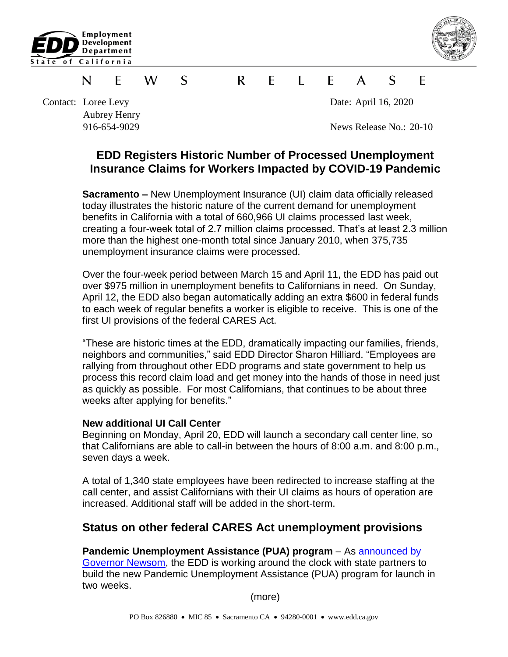



#### W. S  $\mathsf{R}$  $\mathsf{F}$  $\mathbf{L}$   $\mathbf{F}$  $\mathsf{A}$  $\mathcal{S}$ F. F N.

Contact: Loree Levy Date: April 16, 2020 Aubrey Henry

916-654-9029 News Release No.: 20-10

# **EDD Registers Historic Number of Processed Unemployment Insurance Claims for Workers Impacted by COVID-19 Pandemic**

**Sacramento –** New Unemployment Insurance (UI) claim data officially released today illustrates the historic nature of the current demand for unemployment benefits in California with a total of 660,966 UI claims processed last week, creating a four-week total of 2.7 million claims processed. That's at least 2.3 million more than the highest one-month total since January 2010, when 375,735 unemployment insurance claims were processed.

Over the four-week period between March 15 and April 11, the EDD has paid out over \$975 million in unemployment benefits to Californians in need. On Sunday, April 12, the EDD also began automatically adding an extra \$600 in federal funds to each week of regular benefits a worker is eligible to receive. This is one of the first UI provisions of the federal CARES Act.

"These are historic times at the EDD, dramatically impacting our families, friends, neighbors and communities," said EDD Director Sharon Hilliard. "Employees are rallying from throughout other EDD programs and state government to help us process this record claim load and get money into the hands of those in need just as quickly as possible. For most Californians, that continues to be about three weeks after applying for benefits."

#### **New additional UI Call Center**

Beginning on Monday, April 20, EDD will launch a secondary call center line, so that Californians are able to call-in between the hours of 8:00 a.m. and 8:00 p.m., seven days a week.

A total of 1,340 state employees have been redirected to increase staffing at the call center, and assist Californians with their UI claims as hours of operation are increased. Additional staff will be added in the short-term.

## **Status on other federal CARES Act unemployment provisions**

#### **Pandemic Unemployment Assistance (PUA) program** – As [announced by](https://www.gov.ca.gov/2020/04/15/governor-newsom-announces-new-initiatives-to-support-california-workers-impacted-by-covid-19/)

[Governor Newsom,](https://www.gov.ca.gov/2020/04/15/governor-newsom-announces-new-initiatives-to-support-california-workers-impacted-by-covid-19/) the EDD is working around the clock with state partners to build the new Pandemic Unemployment Assistance (PUA) program for launch in two weeks.

(more)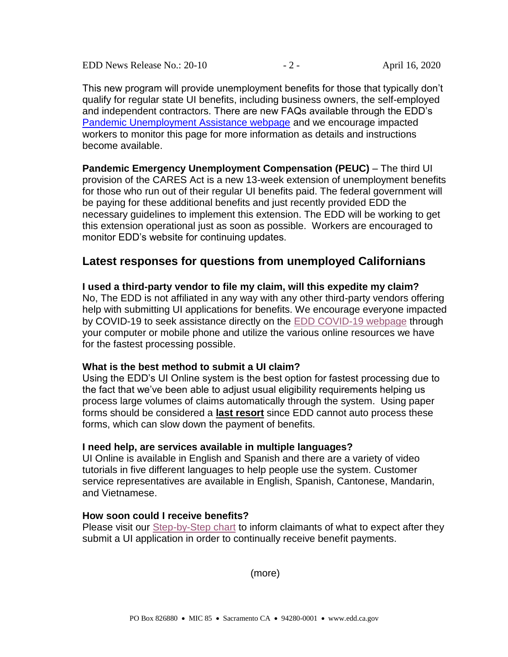EDD News Release No.: 20-10 - 2 - April 16, 2020

This new program will provide unemployment benefits for those that typically don't qualify for regular state UI benefits, including business owners, the self-employed and independent contractors. There are new FAQs available through the EDD's [Pandemic Unemployment Assistance webpage](https://www.edd.ca.gov/about_edd/coronavirus-2019/pandemic-unemployment-assistance.htm) and we encourage impacted workers to monitor this page for more information as details and instructions become available.

**Pandemic Emergency Unemployment Compensation (PEUC)** – The third UI provision of the CARES Act is a new 13-week extension of unemployment benefits for those who run out of their regular UI benefits paid. The federal government will be paying for these additional benefits and just recently provided EDD the necessary guidelines to implement this extension. The EDD will be working to get this extension operational just as soon as possible. Workers are encouraged to monitor EDD's website for continuing updates.

## **Latest responses for questions from unemployed Californians**

**I used a third-party vendor to file my claim, will this expedite my claim?** No, The EDD is not affiliated in any way with any other third-party vendors offering help with submitting UI applications for benefits. We encourage everyone impacted by COVID-19 to seek assistance directly on the [EDD COVID-19 webpage](https://www.edd.ca.gov/about_edd/coronavirus-2019.htm) through your computer or mobile phone and utilize the various online resources we have for the fastest processing possible.

#### **What is the best method to submit a UI claim?**

Using the EDD's UI Online system is the best option for fastest processing due to the fact that we've been able to adjust usual eligibility requirements helping us process large volumes of claims automatically through the system. Using paper forms should be considered a **last resort** since EDD cannot auto process these forms, which can slow down the payment of benefits.

#### **I need help, are services available in multiple languages?**

UI Online is available in English and Spanish and there are a variety of video tutorials in five different languages to help people use the system. Customer service representatives are available in English, Spanish, Cantonese, Mandarin, and Vietnamese.

#### **How soon could I receive benefits?**

Please visit our [Step-by-Step chart](https://www.edd.ca.gov/about_edd/coronavirus-2019/unemployment-claims.htm) to inform claimants of what to expect after they submit a UI application in order to continually receive benefit payments.

(more)